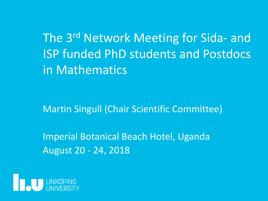The 3<sup>rd</sup> Network Meeting for Sida- and ISP funded PhD students and Postdocs in Mathematics

Martin Singull (Chair Scientific Committee)

Imperial Botanical Beach Hotel, Uganda August 20 - 24, 2018

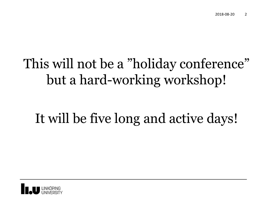# This will not be a "holiday conference" but a hard-working workshop!

# It will be five long and active days!

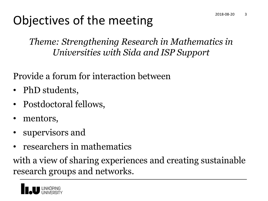#### Objectives of the meeting

*Theme: Strengthening Research in Mathematics in Universities with Sida and ISP Support*

Provide a forum for interaction between

- PhD students,
- Postdoctoral fellows,
- mentors,
- supervisors and
- researchers in mathematics

with a view of sharing experiences and creating sustainable research groups and networks.

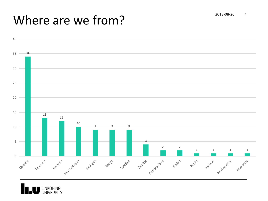## Where are we from?



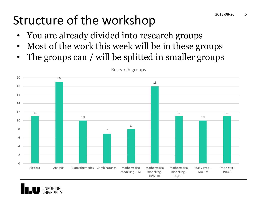## Structure of the workshop 2018-08-20 5

- You are already divided into research groups
- Most of the work this week will be in these groups
- The groups can / will be splitted in smaller groups



Research groups

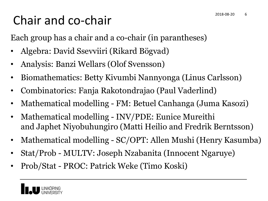#### Chair and co-chair

Each group has a chair and a co-chair (in parantheses)

- Algebra: David Ssevviiri (Rikard Bögvad)
- Analysis: Banzi Wellars (Olof Svensson)
- Biomathematics: Betty Kivumbi Nannyonga (Linus Carlsson)
- Combinatorics: Fanja Rakotondrajao (Paul Vaderlind)
- Mathematical modelling FM: Betuel Canhanga (Juma Kasozi)
- Mathematical modelling INV/PDE: Eunice Mureithi and Japhet Niyobuhungiro (Matti Heilio and Fredrik Berntsson)
- Mathematical modelling SC/OPT: Allen Mushi (Henry Kasumba)
- Stat/Prob MULTV: Joseph Nzabanita (Innocent Ngaruye)
- Prob/Stat PROC: Patrick Weke (Timo Koski)

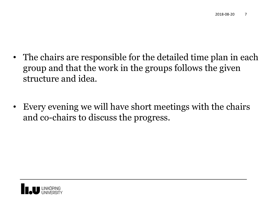- The chairs are responsible for the detailed time plan in each group and that the work in the groups follows the given structure and idea.
- Every evening we will have short meetings with the chairs and co-chairs to discuss the progress.

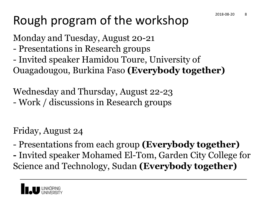### Rough program of the workshop

Monday and Tuesday, August 20-21

- Presentations in Research groups
- Invited speaker Hamidou Toure, University of Ouagadougou, Burkina Faso **(Everybody together)**

Wednesday and Thursday, August 22-23 - Work / discussions in Research groups

Friday, August 24

- Presentations from each group **(Everybody together)**
- **-** Invited speaker Mohamed El-Tom, Garden City College for Science and Technology, Sudan **(Everybody together)**

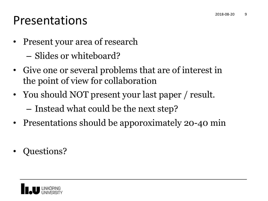#### Presentations

- Present your area of research
	- Slides or whiteboard?
- Give one or several problems that are of interest in the point of view for collaboration
- You should NOT present your last paper / result.
	- Instead what could be the next step?
- Presentations should be apporoximately 20-40 min
- Questions?

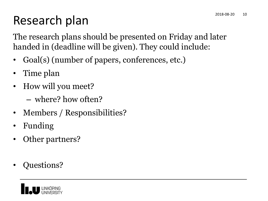### Research plan

The research plans should be presented on Friday and later handed in (deadline will be given). They could include:

- Goal(s) (number of papers, conferences, etc.)
- Time plan
- How will you meet?
	- where? how often?
- Members / Responsibilities?
- Funding
- Other partners?
- Questions?

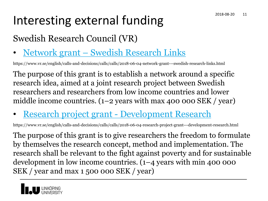# Interesting external funding 2018-08-20 11

#### Swedish Research Council (VR)

• Network grant – Swedish Research Links

https://www.vr.se/english/calls-and-decisions/calls/calls/2018-06-04-network-grant---swedish-research-links.html

The purpose of this grant is to establish a network around a specific research idea, aimed at a joint research project between Swedish researchers and researchers from low income countries and lower middle income countries.  $(1-2 \text{ years with max } 400\text{ too } \text{SEK } / \text{ year})$ 

• Research project grant - Development Research

https://www.vr.se/english/calls-and-decisions/calls/calls/2018-06-04-research-project-grant---development-research.html

The purpose of this grant is to give researchers the freedom to formulate by themselves the research concept, method and implementation. The research shall be relevant to the fight against poverty and for sustainable development in low income countries. (1–4 years with min 400 000 SEK / year and max 1 500 000 SEK / year)

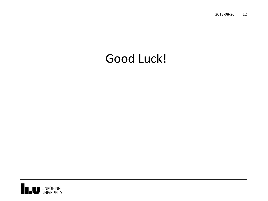2018-08-20 12

#### Good Luck!